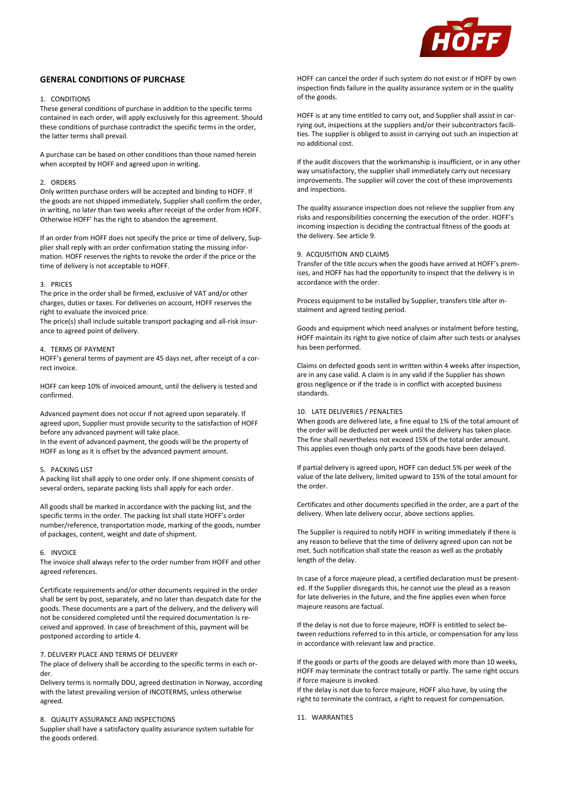

# **GENERAL CONDITIONS OF PURCHASE**

## 1. CONDITIONS

These general conditions of purchase in addition to the specific terms contained in each order, will apply exclusively for this agreement. Should these conditions of purchase contradict the specific terms in the order, the latter terms shall prevail.

A purchase can be based on other conditions than those named herein when accepted by HOFF and agreed upon in writing.

### 2. ORDERS

Only written purchase orders will be accepted and binding to HOFF. If the goods are not shipped immediately, Supplier shall confirm the order, in writing, no later than two weeks after receipt of the order from HOFF. Otherwise HOFF' has the right to abandon the agreement.

If an order from HOFF does not specify the price or time of delivery, Supplier shall reply with an order confirmation stating the missing information. HOFF reserves the rights to revoke the order if the price or the time of delivery is not acceptable to HOFF.

### 3. PRICES

The price in the order shall be firmed, exclusive of VAT and/or other charges, duties or taxes. For deliveries on account, HOFF reserves the right to evaluate the invoiced price.

The price(s) shall include suitable transport packaging and all-risk insurance to agreed point of delivery.

### 4. TERMS OF PAYMENT

HOFF's general terms of payment are 45 days net, after receipt of a correct invoice.

HOFF can keep 10% of invoiced amount, until the delivery is tested and confirmed.

Advanced payment does not occur if not agreed upon separately. If agreed upon, Supplier must provide security to the satisfaction of HOFF before any advanced payment will take place.

In the event of advanced payment, the goods will be the property of HOFF as long as it is offset by the advanced payment amount.

# 5. PACKING LIST

A packing list shall apply to one order only. If one shipment consists of several orders, separate packing lists shall apply for each order.

All goods shall be marked in accordance with the packing list, and the specific terms in the order. The packing list shall state HOFF's order number/reference, transportation mode, marking of the goods, number of packages, content, weight and date of shipment.

#### 6. INVOICE

The invoice shall always refer to the order number from HOFF and other agreed references.

Certificate requirements and/or other documents required in the order shall be sent by post, separately, and no later than despatch date for the goods. These documents are a part of the delivery, and the delivery will not be considered completed until the required documentation is received and approved. In case of breachment of this, payment will be postponed according to article 4.

# 7. DELIVERY PLACE AND TERMS OF DELIVERY

The place of delivery shall be according to the specific terms in each order.

Delivery terms is normally DDU, agreed destination in Norway, according with the latest prevailing version of INCOTERMS, unless otherwise agreed.

## 8. QUALITY ASSURANCE AND INSPECTIONS

Supplier shall have a satisfactory quality assurance system suitable for the goods ordered.

HOFF can cancel the order if such system do not exist or if HOFF by own inspection finds failure in the quality assurance system or in the quality of the goods.

HOFF is at any time entitled to carry out, and Supplier shall assist in carrying out, inspections at the suppliers and/or their subcontractors facilities. The supplier is obliged to assist in carrying out such an inspection at no additional cost.

If the audit discovers that the workmanship is insufficient, or in any other way unsatisfactory, the supplier shall immediately carry out necessary improvements. The supplier will cover the cost of these improvements and inspections.

The quality assurance inspection does not relieve the supplier from any risks and responsibilities concerning the execution of the order. HOFF's incoming inspection is deciding the contractual fitness of the goods at the delivery. See article 9.

# 9. ACQUISITION AND CLAIMS

Transfer of the title occurs when the goods have arrived at HOFF's premises, and HOFF has had the opportunity to inspect that the delivery is in accordance with the order.

Process equipment to be installed by Supplier, transfers title after instalment and agreed testing period.

Goods and equipment which need analyses or instalment before testing, HOFF maintain its right to give notice of claim after such tests or analyses has been performed.

Claims on defected goods sent in written within 4 weeks after inspection, are in any case valid. A claim is in any valid if the Supplier has shown gross negligence or if the trade is in conflict with accepted business standards.

### 10. LATE DELIVERIES / PENALTIES

When goods are delivered late, a fine equal to 1% of the total amount of the order will be deducted per week until the delivery has taken place. The fine shall nevertheless not exceed 15% of the total order amount. This applies even though only parts of the goods have been delayed.

If partial delivery is agreed upon, HOFF can deduct 5% per week of the value of the late delivery, limited upward to 15% of the total amount for the order.

Certificates and other documents specified in the order, are a part of the delivery. When late delivery occur, above sections applies.

The Supplier is required to notify HOFF in writing immediately if there is any reason to believe that the time of delivery agreed upon can not be met. Such notification shall state the reason as well as the probably length of the delay.

In case of a force majeure plead, a certified declaration must be presented. If the Supplier disregards this, he cannot use the plead as a reason for late deliveries in the future, and the fine applies even when force majeure reasons are factual.

If the delay is not due to force majeure, HOFF is entitled to select between reductions referred to in this article, or compensation for any loss in accordance with relevant law and practice.

If the goods or parts of the goods are delayed with more than 10 weeks, HOFF may terminate the contract totally or partly. The same right occurs if force majeure is invoked.

If the delay is not due to force majeure, HOFF also have, by using the right to terminate the contract, a right to request for compensation.

11. WARRANTIES